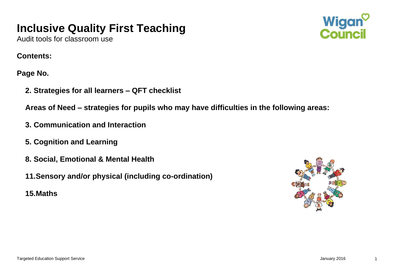# **Inclusive Quality First Teaching**



Audit tools for classroom use

#### **Contents:**

**Page No.**

**2. Strategies for all learners – QFT checklist**

**Areas of Need – strategies for pupils who may have difficulties in the following areas:**

- **3. Communication and Interaction**
- **5. Cognition and Learning**
- **8. Social, Emotional & Mental Health**
- **11.Sensory and/or physical (including co-ordination)**
- **15.Maths**

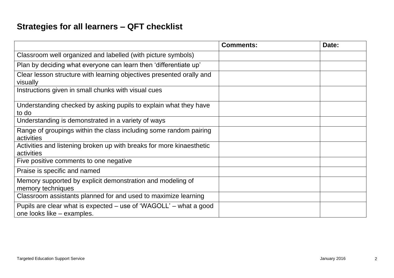# **Strategies for all learners – QFT checklist**

|                                                                                                 | <b>Comments:</b> | Date: |
|-------------------------------------------------------------------------------------------------|------------------|-------|
| Classroom well organized and labelled (with picture symbols)                                    |                  |       |
| Plan by deciding what everyone can learn then 'differentiate up'                                |                  |       |
| Clear lesson structure with learning objectives presented orally and<br>visually                |                  |       |
| Instructions given in small chunks with visual cues                                             |                  |       |
| Understanding checked by asking pupils to explain what they have<br>to do                       |                  |       |
| Understanding is demonstrated in a variety of ways                                              |                  |       |
| Range of groupings within the class including some random pairing<br>activities                 |                  |       |
| Activities and listening broken up with breaks for more kinaesthetic<br>activities              |                  |       |
| Five positive comments to one negative                                                          |                  |       |
| Praise is specific and named                                                                    |                  |       |
| Memory supported by explicit demonstration and modeling of<br>memory techniques                 |                  |       |
| Classroom assistants planned for and used to maximize learning                                  |                  |       |
| Pupils are clear what is expected – use of 'WAGOLL' – what a good<br>one looks like – examples. |                  |       |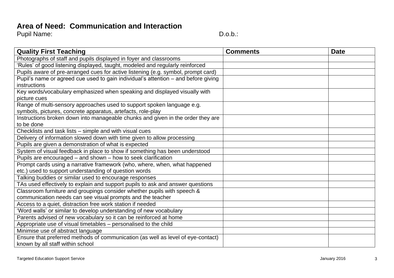#### **Area of Need: Communication and Interaction**

| <b>Quality First Teaching</b>                                                      | <b>Comments</b> | <b>Date</b> |
|------------------------------------------------------------------------------------|-----------------|-------------|
| Photographs of staff and pupils displayed in foyer and classrooms                  |                 |             |
| 'Rules' of good listening displayed, taught, modeled and regularly reinforced      |                 |             |
| Pupils aware of pre-arranged cues for active listening (e.g. symbol, prompt card)  |                 |             |
| Pupil's name or agreed cue used to gain individual's attention - and before giving |                 |             |
| instructions                                                                       |                 |             |
| Key words/vocabulary emphasized when speaking and displayed visually with          |                 |             |
| picture cues                                                                       |                 |             |
| Range of multi-sensory approaches used to support spoken language e.g.             |                 |             |
| symbols, pictures, concrete apparatus, artefacts, role-play                        |                 |             |
| Instructions broken down into manageable chunks and given in the order they are    |                 |             |
| to be done                                                                         |                 |             |
| Checklists and task lists - simple and with visual cues                            |                 |             |
| Delivery of information slowed down with time given to allow processing            |                 |             |
| Pupils are given a demonstration of what is expected                               |                 |             |
| System of visual feedback in place to show if something has been understood        |                 |             |
| Pupils are encouraged – and shown – how to seek clarification                      |                 |             |
| Prompt cards using a narrative framework (who, where, when, what happened          |                 |             |
| etc.) used to support understanding of question words                              |                 |             |
| Talking buddies or similar used to encourage responses                             |                 |             |
| TAs used effectively to explain and support pupils to ask and answer questions     |                 |             |
| Classroom furniture and groupings consider whether pupils with speech &            |                 |             |
| communication needs can see visual prompts and the teacher                         |                 |             |
| Access to a quiet, distraction free work station if needed                         |                 |             |
| 'Word walls' or similar to develop understanding of new vocabulary                 |                 |             |
| Parents advised of new vocabulary so it can be reinforced at home                  |                 |             |
| Appropriate use of visual timetables – personalised to the child                   |                 |             |
| Minimise use of abstract language                                                  |                 |             |
| Ensure that preferred methods of communication (as well as level of eye-contact)   |                 |             |
| known by all staff within school                                                   |                 |             |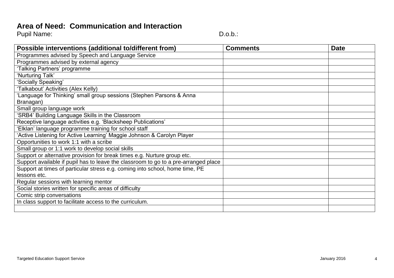#### **Area of Need: Communication and Interaction**

| Possible interventions (additional to/different from)                               | <b>Comments</b> | <b>Date</b> |
|-------------------------------------------------------------------------------------|-----------------|-------------|
| Programmes advised by Speech and Language Service                                   |                 |             |
| Programmes advised by external agency                                               |                 |             |
| 'Talking Partners' programme                                                        |                 |             |
| 'Nurturing Talk'                                                                    |                 |             |
| 'Socially Speaking'                                                                 |                 |             |
| 'Talkabout' Activities (Alex Kelly)                                                 |                 |             |
| 'Language for Thinking' small group sessions (Stephen Parsons & Anna                |                 |             |
| Branagan)                                                                           |                 |             |
| Small group language work                                                           |                 |             |
| 'SRB4' Building Language Skills in the Classroom                                    |                 |             |
| Receptive language activities e.g. 'Blacksheep Publications'                        |                 |             |
| 'Elklan' language programme training for school staff                               |                 |             |
| 'Active Listening for Active Learning' Maggie Johnson & Carolyn Player              |                 |             |
| Opportunities to work 1:1 with a scribe                                             |                 |             |
| Small group or 1:1 work to develop social skills                                    |                 |             |
| Support or alternative provision for break times e.g. Nurture group etc.            |                 |             |
| Support available if pupil has to leave the classroom to go to a pre-arranged place |                 |             |
| Support at times of particular stress e.g. coming into school, home time, PE        |                 |             |
| lessons etc.                                                                        |                 |             |
| Regular sessions with learning mentor                                               |                 |             |
| Social stories written for specific areas of difficulty                             |                 |             |
| Comic strip conversations                                                           |                 |             |
| In class support to facilitate access to the curriculum.                            |                 |             |
|                                                                                     |                 |             |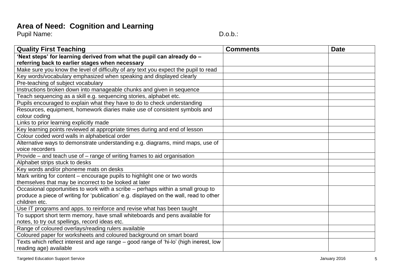# **Area of Need: Cognition and Learning**

Pupil Name: Case of the Contract of the Contract of the Contract of the D.o.b.:

| <b>Quality First Teaching</b>                                                          | <b>Comments</b> | <b>Date</b> |
|----------------------------------------------------------------------------------------|-----------------|-------------|
| 'Next steps' for learning derived from what the pupil can already do -                 |                 |             |
| referring back to earlier stages when necessary                                        |                 |             |
| Make sure you know the level of difficulty of any text you expect the pupil to read    |                 |             |
| Key words/vocabulary emphasized when speaking and displayed clearly                    |                 |             |
| Pre-teaching of subject vocabulary                                                     |                 |             |
| Instructions broken down into manageable chunks and given in sequence                  |                 |             |
| Teach sequencing as a skill e.g. sequencing stories, alphabet etc.                     |                 |             |
| Pupils encouraged to explain what they have to do to check understanding               |                 |             |
| Resources, equipment, homework diaries make use of consistent symbols and              |                 |             |
| colour coding                                                                          |                 |             |
| Links to prior learning explicitly made                                                |                 |             |
| Key learning points reviewed at appropriate times during and end of lesson             |                 |             |
| Colour coded word walls in alphabetical order                                          |                 |             |
| Alternative ways to demonstrate understanding e.g. diagrams, mind maps, use of         |                 |             |
| voice recorders                                                                        |                 |             |
| Provide – and teach use of – range of writing frames to aid organisation               |                 |             |
| Alphabet strips stuck to desks                                                         |                 |             |
| Key words and/or phoneme mats on desks                                                 |                 |             |
| Mark writing for content - encourage pupils to highlight one or two words              |                 |             |
| themselves that may be incorrect to be looked at later                                 |                 |             |
| Occasional opportunities to work with a scribe – perhaps within a small group to       |                 |             |
| produce a piece of writing for 'publication' e.g. displayed on the wall, read to other |                 |             |
| children etc.                                                                          |                 |             |
| Use IT programs and apps. to reinforce and revise what has been taught                 |                 |             |
| To support short term memory, have small whiteboards and pens available for            |                 |             |
| notes, to try out spellings, record ideas etc.                                         |                 |             |
| Range of coloured overlays/reading rulers available                                    |                 |             |
| Coloured paper for worksheets and coloured background on smart board                   |                 |             |
| Texts which reflect interest and age range – good range of 'hi-lo' (high inerest, low  |                 |             |
| reading age) available                                                                 |                 |             |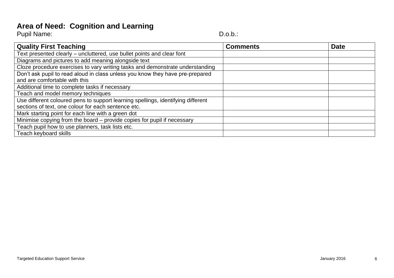## **Area of Need: Cognition and Learning**

| <b>Pupil Name:</b><br>D.o.b.: |  |
|-------------------------------|--|

| <b>Quality First Teaching</b>                                                    | <b>Comments</b> | <b>Date</b> |
|----------------------------------------------------------------------------------|-----------------|-------------|
| Text presented clearly – uncluttered, use bullet points and clear font           |                 |             |
| Diagrams and pictures to add meaning alongside text                              |                 |             |
| Cloze procedure exercises to vary writing tasks and demonstrate understanding    |                 |             |
| Don't ask pupil to read aloud in class unless you know they have pre-prepared    |                 |             |
| and are comfortable with this                                                    |                 |             |
| Additional time to complete tasks if necessary                                   |                 |             |
| Teach and model memory techniques                                                |                 |             |
| Use different coloured pens to support learning spellings, identifying different |                 |             |
| sections of text, one colour for each sentence etc.                              |                 |             |
| Mark starting point for each line with a green dot                               |                 |             |
| Minimise copying from the board – provide copies for pupil if necessary          |                 |             |
| Teach pupil how to use planners, task lists etc.                                 |                 |             |
| Teach keyboard skills                                                            |                 |             |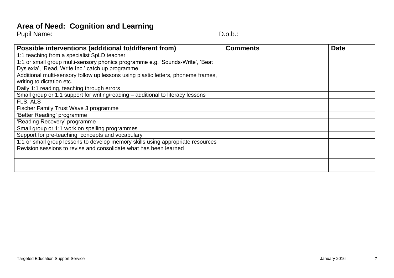# **Area of Need: Cognition and Learning**

Pupil Name: Case of the Contract of the Contract of the Contract of the D.o.b.:

| Possible interventions (additional to/different from)                             | <b>Comments</b> | <b>Date</b> |
|-----------------------------------------------------------------------------------|-----------------|-------------|
| 1:1 teaching from a specialist SpLD teacher                                       |                 |             |
| 1:1 or small group multi-sensory phonics programme e.g. 'Sounds-Write', 'Beat     |                 |             |
| Dyslexia', 'Read, Write Inc.' catch up programme                                  |                 |             |
| Additional multi-sensory follow up lessons using plastic letters, phoneme frames, |                 |             |
| writing to dictation etc.                                                         |                 |             |
| Daily 1:1 reading, teaching through errors                                        |                 |             |
| Small group or 1:1 support for writing/reading – additional to literacy lessons   |                 |             |
| FLS, ALS                                                                          |                 |             |
| Fischer Family Trust Wave 3 programme                                             |                 |             |
| 'Better Reading' programme                                                        |                 |             |
| 'Reading Recovery' programme                                                      |                 |             |
| Small group or 1:1 work on spelling programmes                                    |                 |             |
| Support for pre-teaching concepts and vocabulary                                  |                 |             |
| 1:1 or small group lessons to develop memory skills using appropriate resources   |                 |             |
| Revision sessions to revise and consolidate what has been learned                 |                 |             |
|                                                                                   |                 |             |
|                                                                                   |                 |             |
|                                                                                   |                 |             |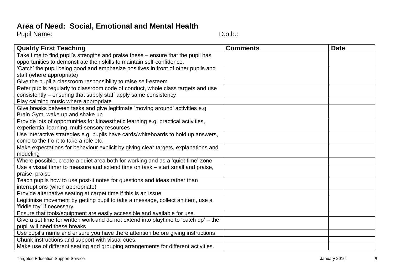#### **Area of Need: Social, Emotional and Mental Health**

| <b>Quality First Teaching</b>                                                        | <b>Comments</b> | <b>Date</b> |
|--------------------------------------------------------------------------------------|-----------------|-------------|
| Take time to find pupil's strengths and praise these – ensure that the pupil has     |                 |             |
| opportunities to demonstrate their skills to maintain self-confidence.               |                 |             |
| 'Catch' the pupil being good and emphasize positives in front of other pupils and    |                 |             |
| staff (where appropriate)                                                            |                 |             |
| Give the pupil a classroom responsibility to raise self-esteem                       |                 |             |
| Refer pupils regularly to classroom code of conduct, whole class targets and use     |                 |             |
| consistently – ensuring that supply staff apply same consistency                     |                 |             |
| Play calming music where appropriate                                                 |                 |             |
| Give breaks between tasks and give legitimate 'moving around' activities e.g         |                 |             |
| Brain Gym, wake up and shake up                                                      |                 |             |
| Provide lots of opportunities for kinaesthetic learning e.g. practical activities,   |                 |             |
| experiential learning, multi-sensory resources                                       |                 |             |
| Use interactive strategies e.g. pupils have cards/whiteboards to hold up answers,    |                 |             |
| come to the front to take a role etc.                                                |                 |             |
| Make expectations for behaviour explicit by giving clear targets, explanations and   |                 |             |
| modeling                                                                             |                 |             |
| Where possible, create a quiet area both for working and as a 'quiet time' zone      |                 |             |
| Use a visual timer to measure and extend time on task – start small and praise,      |                 |             |
| praise, praise                                                                       |                 |             |
| Teach pupils how to use post-it notes for questions and ideas rather than            |                 |             |
| interruptions (when appropriate)                                                     |                 |             |
| Provide alternative seating at carpet time if this is an issue                       |                 |             |
| Legitimise movement by getting pupil to take a message, collect an item, use a       |                 |             |
| 'fiddle toy' if necessary                                                            |                 |             |
| Ensure that tools/equipment are easily accessible and available for use.             |                 |             |
| Give a set time for written work and do not extend into playtime to 'catch up' – the |                 |             |
| pupil will need these breaks                                                         |                 |             |
| Use pupil's name and ensure you have there attention before giving instructions      |                 |             |
| Chunk instructions and support with visual cues.                                     |                 |             |
| Make use of different seating and grouping arrangements for different activities.    |                 |             |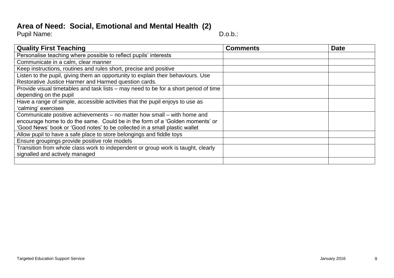#### **Area of Need: Social, Emotional and Mental Health (2)**

Pupil Name: D.o.b.: D.o.b.:

| <b>Quality First Teaching</b>                                                        | <b>Comments</b> | <b>Date</b> |
|--------------------------------------------------------------------------------------|-----------------|-------------|
| Personalise teaching where possible to reflect pupils' interests                     |                 |             |
| Communicate in a calm, clear manner                                                  |                 |             |
| Keep instructions, routines and rules short, precise and positive                    |                 |             |
| Listen to the pupil, giving them an opportunity to explain their behaviours. Use     |                 |             |
| Restorative Justice Harmer and Harmed question cards.                                |                 |             |
| Provide visual timetables and task lists – may need to be for a short period of time |                 |             |
| depending on the pupil                                                               |                 |             |
| Have a range of simple, accessible activities that the pupil enjoys to use as        |                 |             |
| 'calming' exercises                                                                  |                 |             |
| Communicate positive achievements - no matter how small - with home and              |                 |             |
| encourage home to do the same. Could be in the form of a 'Golden moments' or         |                 |             |
| 'Good News' book or 'Good notes' to be collected in a small plastic wallet           |                 |             |
| Allow pupil to have a safe place to store belongings and fiddle toys                 |                 |             |
| Ensure groupings provide positive role models                                        |                 |             |
| Transition from whole class work to independent or group work is taught, clearly     |                 |             |
| signalled and actively managed                                                       |                 |             |
|                                                                                      |                 |             |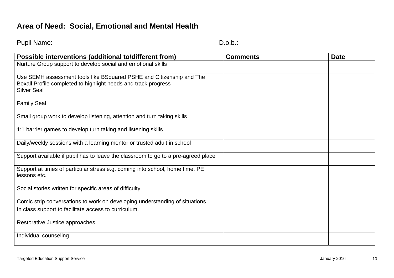#### **Area of Need: Social, Emotional and Mental Health**

Pupil Name: D.o.b.: D.o.b.: D.o.b.: D.o.b.: D.o.b.: D.o.b.: D.o.b.: D.o.b.: D.o.b.: D.o.b.: D.o.b.: D.o.b.: D.o.b.: D.o.b.: D.o.b.: D.o.b.: D.o.b.: D.o.b.: D.o.b.: D.o.b.: D.o.b.: D.o.b.: D.o.b.: D.o.b.: D.o.b.: D.o.b.: D.

| Possible interventions (additional to/different from)                                        | <b>Comments</b> | <b>Date</b> |
|----------------------------------------------------------------------------------------------|-----------------|-------------|
| Nurture Group support to develop social and emotional skills                                 |                 |             |
| Use SEMH assessment tools like BSquared PSHE and Citizenship and The                         |                 |             |
| Boxall Profile completed to highlight needs and track progress<br><b>Silver Seal</b>         |                 |             |
|                                                                                              |                 |             |
| <b>Family Seal</b>                                                                           |                 |             |
| Small group work to develop listening, attention and turn taking skills                      |                 |             |
| 1:1 barrier games to develop turn taking and listening skills                                |                 |             |
| Daily/weekly sessions with a learning mentor or trusted adult in school                      |                 |             |
| Support available if pupil has to leave the classroom to go to a pre-agreed place            |                 |             |
| Support at times of particular stress e.g. coming into school, home time, PE<br>lessons etc. |                 |             |
| Social stories written for specific areas of difficulty                                      |                 |             |
| Comic strip conversations to work on developing understanding of situations                  |                 |             |
| In class support to facilitate access to curriculum.                                         |                 |             |
| Restorative Justice approaches                                                               |                 |             |
| Individual counseling                                                                        |                 |             |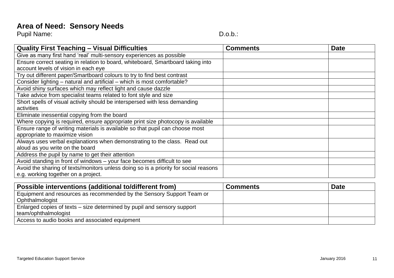Pupil Name: Calculation of the Contract of the Contract of the D.o.b.:

| <b>Quality First Teaching - Visual Difficulties</b>                                  | <b>Comments</b> | <b>Date</b> |
|--------------------------------------------------------------------------------------|-----------------|-------------|
| Give as many first hand 'real' multi-sensory experiences as possible                 |                 |             |
| Ensure correct seating in relation to board, whiteboard, Smartboard taking into      |                 |             |
| account levels of vision in each eye                                                 |                 |             |
| Try out different paper/Smartboard colours to try to find best contrast              |                 |             |
| Consider lighting - natural and artificial - which is most comfortable?              |                 |             |
| Avoid shiny surfaces which may reflect light and cause dazzle                        |                 |             |
| Take advice from specialist teams related to font style and size                     |                 |             |
| Short spells of visual activity should be interspersed with less demanding           |                 |             |
| activities                                                                           |                 |             |
| Eliminate inessential copying from the board                                         |                 |             |
| Where copying is required, ensure appropriate print size photocopy is available      |                 |             |
| Ensure range of writing materials is available so that pupil can choose most         |                 |             |
| appropriate to maximize vision                                                       |                 |             |
| Always uses verbal explanations when demonstrating to the class. Read out            |                 |             |
| aloud as you write on the board                                                      |                 |             |
| Address the pupil by name to get their attention                                     |                 |             |
| Avoid standing in front of windows - your face becomes difficult to see              |                 |             |
| Avoid the sharing of texts/monitors unless doing so is a priority for social reasons |                 |             |
| e.g. working together on a project.                                                  |                 |             |

| Possible interventions (additional to/different from)                   | <b>Comments</b> | <b>Date</b> |
|-------------------------------------------------------------------------|-----------------|-------------|
| Equipment and resources as recommended by the Sensory Support Team or   |                 |             |
| Ophthalmologist                                                         |                 |             |
| Enlarged copies of texts – size determined by pupil and sensory support |                 |             |
| team/ophthalmologist                                                    |                 |             |
| Access to audio books and associated equipment                          |                 |             |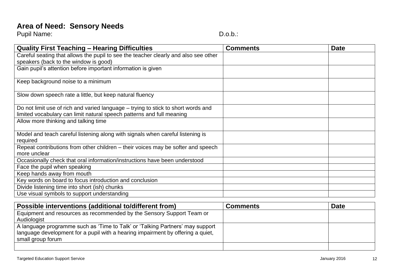Pupil Name: The Contract of the Contract of the Contract of the D.o.b.:

| <b>Quality First Teaching - Hearing Difficulties</b>                                | <b>Comments</b> | <b>Date</b> |
|-------------------------------------------------------------------------------------|-----------------|-------------|
| Careful seating that allows the pupil to see the teacher clearly and also see other |                 |             |
| speakers (back to the window is good)                                               |                 |             |
| Gain pupil's attention before important information is given                        |                 |             |
| Keep background noise to a minimum                                                  |                 |             |
|                                                                                     |                 |             |
| Slow down speech rate a little, but keep natural fluency                            |                 |             |
|                                                                                     |                 |             |
| Do not limit use of rich and varied language – trying to stick to short words and   |                 |             |
| limited vocabulary can limit natural speech patterns and full meaning               |                 |             |
| Allow more thinking and talking time                                                |                 |             |
|                                                                                     |                 |             |
| Model and teach careful listening along with signals when careful listening is      |                 |             |
| required                                                                            |                 |             |
| Repeat contributions from other children - their voices may be softer and speech    |                 |             |
| more unclear                                                                        |                 |             |
| Occasionally check that oral information/instructions have been understood          |                 |             |
| Face the pupil when speaking                                                        |                 |             |
| Keep hands away from mouth                                                          |                 |             |
| Key words on board to focus introduction and conclusion                             |                 |             |
| Divide listening time into short (ish) chunks                                       |                 |             |
| Use visual symbols to support understanding                                         |                 |             |

| Possible interventions (additional to/different from)                           | <b>Comments</b> | <b>Date</b> |
|---------------------------------------------------------------------------------|-----------------|-------------|
| Equipment and resources as recommended by the Sensory Support Team or           |                 |             |
| Audiologist                                                                     |                 |             |
| A language programme such as 'Time to Talk' or 'Talking Partners' may support   |                 |             |
| language development for a pupil with a hearing impairment by offering a quiet, |                 |             |
| small group forum                                                               |                 |             |
|                                                                                 |                 |             |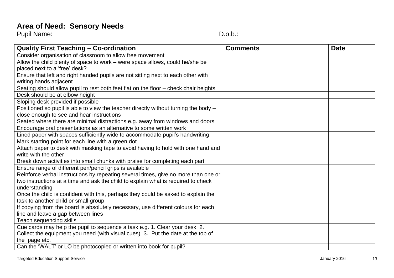Pupil Name: The Contract of the Contract of the Contract of the D.o.b.:

| <b>Quality First Teaching - Co-ordination</b>                                        | <b>Comments</b> | <b>Date</b> |
|--------------------------------------------------------------------------------------|-----------------|-------------|
| Consider organisation of classroom to allow free movement                            |                 |             |
| Allow the child plenty of space to work - were space allows, could he/she be         |                 |             |
| placed next to a 'free' desk?                                                        |                 |             |
| Ensure that left and right handed pupils are not sitting next to each other with     |                 |             |
| writing hands adjacent                                                               |                 |             |
| Seating should allow pupil to rest both feet flat on the floor - check chair heights |                 |             |
| Desk should be at elbow height                                                       |                 |             |
| Sloping desk provided if possible                                                    |                 |             |
| Positioned so pupil is able to view the teacher directly without turning the body -  |                 |             |
| close enough to see and hear instructions                                            |                 |             |
| Seated where there are minimal distractions e.g. away from windows and doors         |                 |             |
| Encourage oral presentations as an alternative to some written work                  |                 |             |
| Lined paper with spaces sufficiently wide to accommodate pupil's handwriting         |                 |             |
| Mark starting point for each line with a green dot                                   |                 |             |
| Attach paper to desk with masking tape to avoid having to hold with one hand and     |                 |             |
| write with the other                                                                 |                 |             |
| Break down activities into small chunks with praise for completing each part         |                 |             |
| Ensure range of different pen/pencil grips is available                              |                 |             |
| Reinforce verbal instructions by repeating several times, give no more than one or   |                 |             |
| two instructions at a time and ask the child to explain what is required to check    |                 |             |
| understanding                                                                        |                 |             |
| Once the child is confident with this, perhaps they could be asked to explain the    |                 |             |
| task to another child or small group                                                 |                 |             |
| If copying from the board is absolutely necessary, use different colours for each    |                 |             |
| line and leave a gap between lines                                                   |                 |             |
| <b>Teach sequencing skills</b>                                                       |                 |             |
| Cue cards may help the pupil to sequence a task e.g. 1. Clear your desk 2.           |                 |             |
| Collect the equipment you need (with visual cues) 3. Put the date at the top of      |                 |             |
| the page etc.                                                                        |                 |             |
| Can the 'WALT' or LO be photocopied or written into book for pupil?                  |                 |             |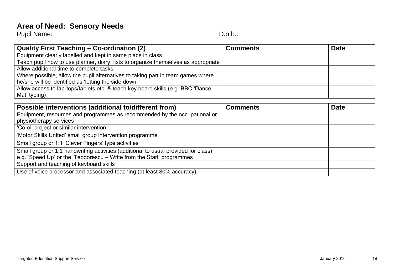Pupil Name: Calculation of the Contract of the Contract of the D.o.b.:

| Quality First Teaching – Co-ordination (2)                                         | <b>Comments</b> | <b>Date</b> |
|------------------------------------------------------------------------------------|-----------------|-------------|
| Equipment clearly labelled and kept in same place in class                         |                 |             |
| Teach pupil how to use planner, diary, lists to organize themselves as appropriate |                 |             |
| Allow additional time to complete tasks                                            |                 |             |
| Where possible, allow the pupil alternatives to taking part in team games where    |                 |             |
| he/she will be identified as 'letting the side down'                               |                 |             |
| Allow access to lap-tops/tablets etc. & teach key board skills (e.g. BBC 'Dance    |                 |             |
| Mat' typing)                                                                       |                 |             |

| Possible interventions (additional to/different from)                              | <b>Comments</b> | <b>Date</b> |
|------------------------------------------------------------------------------------|-----------------|-------------|
| Equipment, resources and programmes as recommended by the occupational or          |                 |             |
| physiotherapy services                                                             |                 |             |
| 'Co-ol' project or similar intervention                                            |                 |             |
| 'Motor Skills United' small group intervention programme                           |                 |             |
| Small group or 1:1 'Clever Fingers' type activities                                |                 |             |
| Small group or 1:1 handwriting activities (additional to usual provided for class) |                 |             |
| e.g. 'Speed Up' or the 'Teodorescu – Write from the Start' programmes              |                 |             |
| Support and teaching of keyboard skills                                            |                 |             |
| Use of voice processor and associated teaching (at least 80% accuracy)             |                 |             |